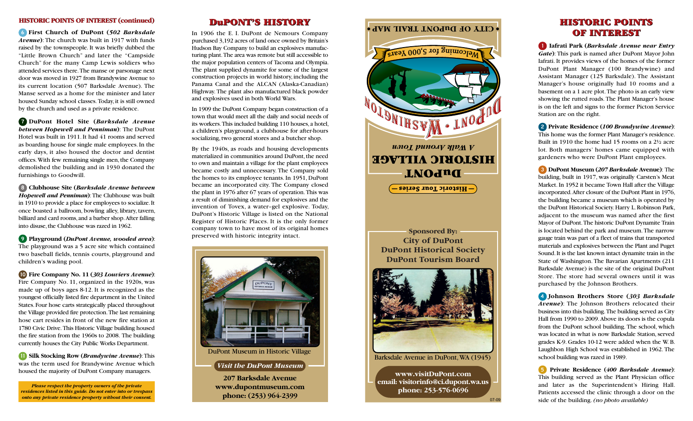## **HISTORIC POINTS OF INTEREST (continued)**

6 **First Church of DuPont (***502 Barksdale Avenue***)**: The church was built in 1917 with funds raised by the townspeople. It was briefly dubbed the "Little Brown Church" and later the "Campside Church" for the many Camp Lewis soldiers who attended services there. The manse or parsonage next door was moved in 1927 from Brandywine Avenue to its current location (507 Barksdale Avenue). The Manse served as a home for the minister and later housed Sunday school classes. Today, it is still owned by the church and used as a private residence.

7 **DuPont Hotel Site (***Barksdale Avenue between Hopewell and Penniman***)**: The DuPont Hotel was built in 1911. It had 41 rooms and served as boarding house for single male employees. In the early days, it also housed the doctor and dentist offices. With few remaining single men, the Company demolished the building and in 1930 donated the furnishings to Goodwill.

8 **Clubhouse Site (***Barksdale Avenue between Hopewell and Penniman***)**: The Clubhouse was built in 1910 to provide a place for employees to socialize. It once boasted a ballroom, bowling alley, library, tavern, billiard and card rooms, and a barber shop. After falling into disuse, the Clubhouse was razed in 1962.

9 **Playground (***DuPont Avenue, wooded area***)**: The playground was a 5 acre site which contained two baseball fields, tennis courts, playground and children's wading pool.

10 **Fire Company No. 11 (***303 Louviers Avenue***)**: Fire Company No. 11, organized in the 1920s, was made up of boys ages 8-12. It is recognized as the youngest officially listed fire department in the United States. Four hose carts strategically placed throughout the Village provided fire protection. The last remaining hose cart resides in front of the new fire station at 1780 Civic Drive. This Historic Village building housed the fire station from the 1960s to 2008. The building currently houses the City Public Works Department.

11 **Silk Stocking Row (***Brandywine Avenue***)**: This was the term used for Brandywine Avenue which housed the majority of DuPont Company managers.

*Please respect the property owners of the private residences listed in this guide. Do not enter into or trespass onto any private residence property without their consent.* 

In 1906 the E. I. DuPont de Nemours Company purchased 3,192 acres of land once owned by Britain's Hudson Bay Company to build an explosives manufacturing plant. The area was remote but still accessible to the major population centers of Tacoma and Olympia. The plant supplied dynamite for some of the largest construction projects in world history, including the Panama Canal and the ALCAN (Alaska-Canadian) Highway. The plant also manufactured black powder and explosives used in both World Wars.

In 1909 the DuPont Company began construction of a town that would meet all the daily and social needs of its workers. This included building 110 houses, a hotel, a children's playground, a clubhouse for after-hours socializing, two general stores and a butcher shop.

By the 1940s, as roads and housing developments materialized in communities around DuPont, the need to own and maintain a village for the plant employees became costly and unnecessary. The Company sold the homes to its employee tenants. In 1951, DuPont became an incorporated city. The Company closed the plant in 1976 after 67 years of operation. This was a result of diminishing demand for explosives and the invention of Tovex, a water–gel explosive. Today, DuPont's Historic Village is listed on the National Register of Historic Places. It is the only former company town to have most of its original homes preserved with historic integrity intact.





## OF INTEREST

1 **Iafrati Park (***Barksdale Avenue near Entry Gate***)**: This park is named after DuPont Mayor John Iafrati. It provides views of the homes of the former DuPont Plant Manager (100 Brandywine) and Assistant Manager (125 Barksdale). The Assistant Manager's house originally had 10 rooms and a basement on a 1 acre plot. The photo is an early view showing the rutted roads. The Plant Manager's house is on the left and signs to the former Picton Service Station are on the right.

2 **Private Residence (***100 Brandywine Avenue***)**: This home was the former Plant Manager's residence. Built in 1910 the home had 15 rooms on a 2½ acre lot. Both managers' homes came equipped with gardeners who were DuPont Plant employees.

3 **DuPont Museum (***207 Barksdale* **Avenue)**: The building, built in 1917, was originally Carsten's Meat Market. In 1952 it became Town Hall after the Village incorporated. After closure of the DuPont Plant in 1976, the building became a museum which is operated by the DuPont Historical Society. Harry L. Robinson Park, adjacent to the museum was named after the first Mayor of DuPont. The historic DuPont Dynamite Train is located behind the park and museum. The narrow gauge train was part of a fleet of trains that transported materials and explosives between the Plant and Puget Sound. It is the last known intact dynamite train in the State of Washington. The Bavarian Apartments (211 Barksdale Avenue) is the site of the original DuPont Store. The store had several owners until it was purchased by the Johnson Brothers.

4 **Johnson Brothers Store (***303 Barksdale Avenue***)**: The Johnson Brothers relocated their business into this building. The building served as City Hall from 1990 to 2009. Above its doors is the copula from the DuPont school building. The school, which was located in what is now Barksdale Station, served grades K-9. Grades 10-12 were added when the W. B. Laughbon High School was established in 1962. The school building was razed in 1989.

5 **Private Residence (***400 Barksdale Avenue***)**: This building served as the Plant Physician office and later as the Superintendent's Hiring Hall. Patients accessed the clinic through a door on the side of the building. *(no photo available)*